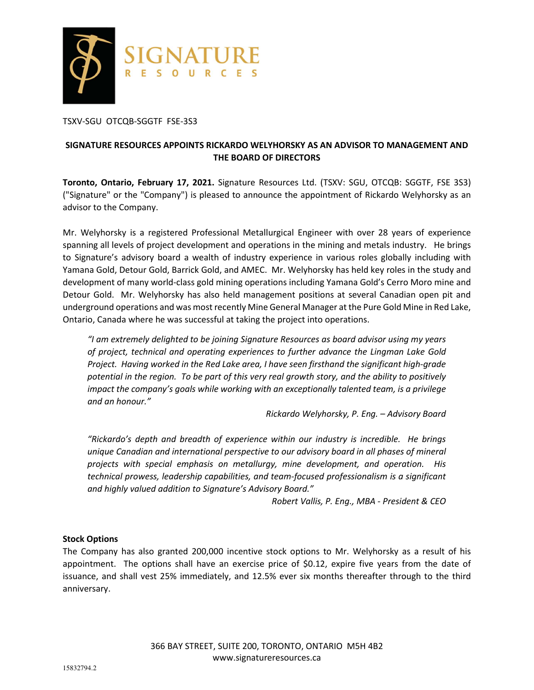

TSXV-SGU OTCQB-SGGTF FSE-3S3

# **SIGNATURE RESOURCES APPOINTS RICKARDO WELYHORSKY AS AN ADVISOR TO MANAGEMENT AND THE BOARD OF DIRECTORS**

**Toronto, Ontario, February 17, 2021.** Signature Resources Ltd. (TSXV: SGU, OTCQB: SGGTF, FSE 3S3) ("Signature" or the "Company") is pleased to announce the appointment of Rickardo Welyhorsky as an advisor to the Company.

Mr. Welyhorsky is a registered Professional Metallurgical Engineer with over 28 years of experience spanning all levels of project development and operations in the mining and metals industry. He brings to Signature's advisory board a wealth of industry experience in various roles globally including with Yamana Gold, Detour Gold, Barrick Gold, and AMEC. Mr. Welyhorsky has held key roles in the study and development of many world-class gold mining operations including Yamana Gold's Cerro Moro mine and Detour Gold. Mr. Welyhorsky has also held management positions at several Canadian open pit and underground operations and was most recently Mine General Manager at the Pure Gold Mine in Red Lake, Ontario, Canada where he was successful at taking the project into operations.

*"I am extremely delighted to be joining Signature Resources as board advisor using my years of project, technical and operating experiences to further advance the Lingman Lake Gold Project. Having worked in the Red Lake area, I have seen firsthand the significant high-grade potential in the region. To be part of this very real growth story, and the ability to positively impact the company's goals while working with an exceptionally talented team, is a privilege and an honour."* 

*Rickardo Welyhorsky, P. Eng. – Advisory Board* 

*"Rickardo's depth and breadth of experience within our industry is incredible. He brings unique Canadian and international perspective to our advisory board in all phases of mineral projects with special emphasis on metallurgy, mine development, and operation. His technical prowess, leadership capabilities, and team-focused professionalism is a significant and highly valued addition to Signature's Advisory Board."* 

*Robert Vallis, P. Eng., MBA - President & CEO* 

### **Stock Options**

The Company has also granted 200,000 incentive stock options to Mr. Welyhorsky as a result of his appointment. The options shall have an exercise price of \$0.12, expire five years from the date of issuance, and shall vest 25% immediately, and 12.5% ever six months thereafter through to the third anniversary.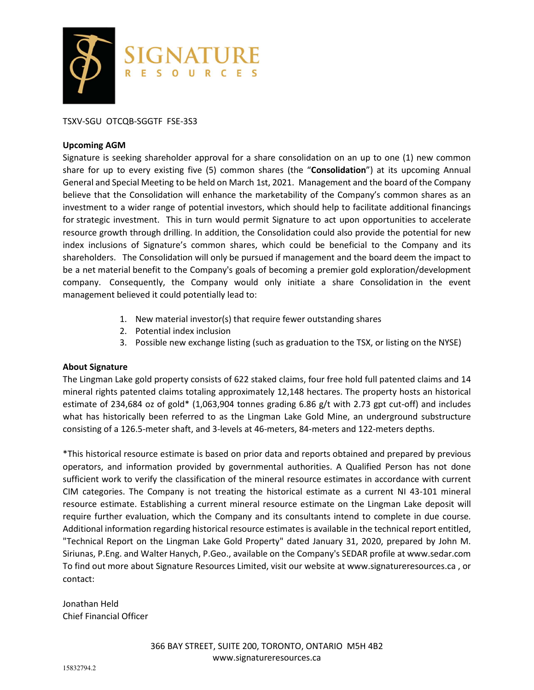

## TSXV-SGU OTCQB-SGGTF FSE-3S3

#### **Upcoming AGM**

Signature is seeking shareholder approval for a share consolidation on an up to one (1) new common share for up to every existing five (5) common shares (the "**Consolidation**") at its upcoming Annual General and Special Meeting to be held on March 1st, 2021. Management and the board of the Company believe that the Consolidation will enhance the marketability of the Company's common shares as an investment to a wider range of potential investors, which should help to facilitate additional financings for strategic investment. This in turn would permit Signature to act upon opportunities to accelerate resource growth through drilling. In addition, the Consolidation could also provide the potential for new index inclusions of Signature's common shares, which could be beneficial to the Company and its shareholders. The Consolidation will only be pursued if management and the board deem the impact to be a net material benefit to the Company's goals of becoming a premier gold exploration/development company. Consequently, the Company would only initiate a share Consolidation in the event management believed it could potentially lead to:

- 1. New material investor(s) that require fewer outstanding shares
- 2. Potential index inclusion
- 3. Possible new exchange listing (such as graduation to the TSX, or listing on the NYSE)

### **About Signature**

The Lingman Lake gold property consists of 622 staked claims, four free hold full patented claims and 14 mineral rights patented claims totaling approximately 12,148 hectares. The property hosts an historical estimate of 234,684 oz of gold\* (1,063,904 tonnes grading 6.86 g/t with 2.73 gpt cut-off) and includes what has historically been referred to as the Lingman Lake Gold Mine, an underground substructure consisting of a 126.5-meter shaft, and 3-levels at 46-meters, 84-meters and 122-meters depths.

\*This historical resource estimate is based on prior data and reports obtained and prepared by previous operators, and information provided by governmental authorities. A Qualified Person has not done sufficient work to verify the classification of the mineral resource estimates in accordance with current CIM categories. The Company is not treating the historical estimate as a current NI 43-101 mineral resource estimate. Establishing a current mineral resource estimate on the Lingman Lake deposit will require further evaluation, which the Company and its consultants intend to complete in due course. Additional information regarding historical resource estimates is available in the technical report entitled, "Technical Report on the Lingman Lake Gold Property" dated January 31, 2020, prepared by John M. Siriunas, P.Eng. and Walter Hanych, P.Geo., available on the Company's SEDAR profile at www.sedar.com To find out more about Signature Resources Limited, visit our website at www.signatureresources.ca , or contact:

Jonathan Held Chief Financial Officer